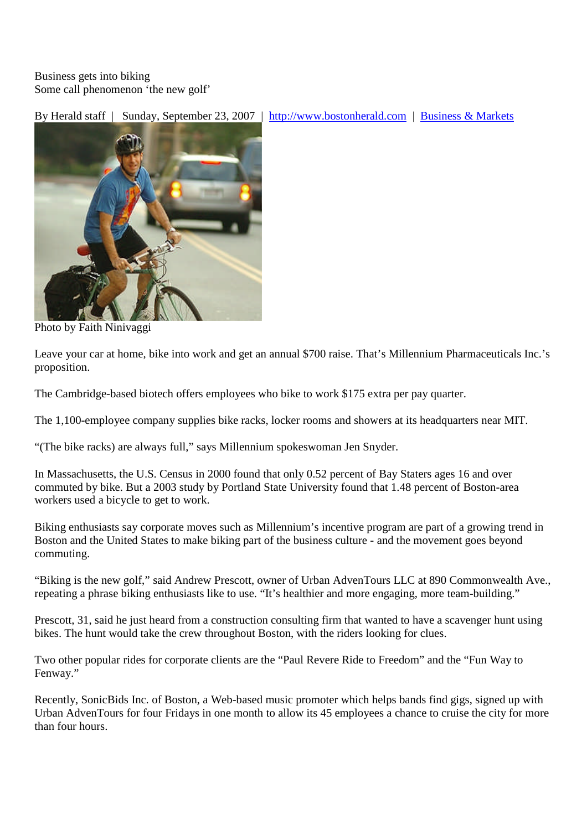Business gets into biking Some call phenomenon 'the new golf'

By Herald staff | Sunday, September 23, 2007 | http://www.bostonherald.com | Business & Markets



Photo by Faith Ninivaggi

Leave your car at home, bike into work and get an annual \$700 raise. That's Millennium Pharmaceuticals Inc.'s proposition.

The Cambridge-based biotech offers employees who bike to work \$175 extra per pay quarter.

The 1,100-employee company supplies bike racks, locker rooms and showers at its headquarters near MIT.

"(The bike racks) are always full," says Millennium spokeswoman Jen Snyder.

In Massachusetts, the U.S. Census in 2000 found that only 0.52 percent of Bay Staters ages 16 and over commuted by bike. But a 2003 study by Portland State University found that 1.48 percent of Boston-area workers used a bicycle to get to work.

Biking enthusiasts say corporate moves such as Millennium's incentive program are part of a growing trend in Boston and the United States to make biking part of the business culture - and the movement goes beyond commuting.

"Biking is the new golf," said Andrew Prescott, owner of Urban AdvenTours LLC at 890 Commonwealth Ave., repeating a phrase biking enthusiasts like to use. "It's healthier and more engaging, more team-building."

Prescott, 31, said he just heard from a construction consulting firm that wanted to have a scavenger hunt using bikes. The hunt would take the crew throughout Boston, with the riders looking for clues.

Two other popular rides for corporate clients are the "Paul Revere Ride to Freedom" and the "Fun Way to Fenway."

Recently, SonicBids Inc. of Boston, a Web-based music promoter which helps bands find gigs, signed up with Urban AdvenTours for four Fridays in one month to allow its 45 employees a chance to cruise the city for more than four hours.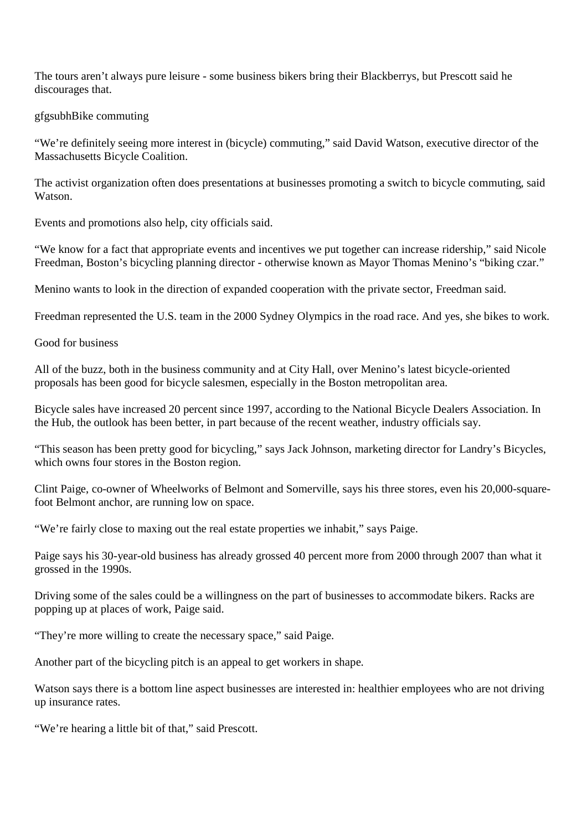The tours aren't always pure leisure - some business bikers bring their Blackberrys, but Prescott said he discourages that.

## gfgsubhBike commuting

"We're definitely seeing more interest in (bicycle) commuting," said David Watson, executive director of the Massachusetts Bicycle Coalition.

The activist organization often does presentations at businesses promoting a switch to bicycle commuting, said Watson.

Events and promotions also help, city officials said.

"We know for a fact that appropriate events and incentives we put together can increase ridership," said Nicole Freedman, Boston's bicycling planning director - otherwise known as Mayor Thomas Menino's "biking czar."

Menino wants to look in the direction of expanded cooperation with the private sector, Freedman said.

Freedman represented the U.S. team in the 2000 Sydney Olympics in the road race. And yes, she bikes to work.

Good for business

All of the buzz, both in the business community and at City Hall, over Menino's latest bicycle-oriented proposals has been good for bicycle salesmen, especially in the Boston metropolitan area.

Bicycle sales have increased 20 percent since 1997, according to the National Bicycle Dealers Association. In the Hub, the outlook has been better, in part because of the recent weather, industry officials say.

"This season has been pretty good for bicycling," says Jack Johnson, marketing director for Landry's Bicycles, which owns four stores in the Boston region.

Clint Paige, co-owner of Wheelworks of Belmont and Somerville, says his three stores, even his 20,000-squarefoot Belmont anchor, are running low on space.

"We're fairly close to maxing out the real estate properties we inhabit," says Paige.

Paige says his 30-year-old business has already grossed 40 percent more from 2000 through 2007 than what it grossed in the 1990s.

Driving some of the sales could be a willingness on the part of businesses to accommodate bikers. Racks are popping up at places of work, Paige said.

"They're more willing to create the necessary space," said Paige.

Another part of the bicycling pitch is an appeal to get workers in shape.

Watson says there is a bottom line aspect businesses are interested in: healthier employees who are not driving up insurance rates.

"We're hearing a little bit of that," said Prescott.